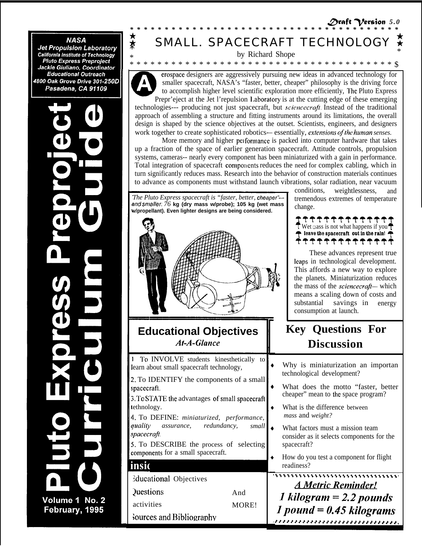## **NASA**

**Jet Propulsion Laboratory<br>California Institute of Technology<br>Pluto Express Preproject** Jackie Giuliano, Coordinator **Educational Outreach** 4800 Oak Grove Drive 301-250D Pasadena, CA 91109

# Volume 1 No. 2 February, 1995

# SMALL. SPACECRAFT TECHNOLOG

by Richard Shope 

erospace designers are aggressively pursuing new ideas in advanced technology for smaller spacecraft, NASA's "faster, better, cheaper" philosophy is the driving force to accomplish higher level scientific exploration more efficiently, The Pluto Express Prepr'eject at the Jet l'repulsion Laboratory is at the cutting edge of these emerging

technologies--- producing not just spacecraft, but *sciencecraft*. Instead of the traditional approach of assembling a structure and fitting instruments around its limitations, the overall design is shaped by the science objectives at the outset. Scientists, engineers, and designers work together to create sophisticated robotics—essentially, extensions of the human senses.

More memory and higher performance is packed into computer hardware that takes up a fraction of the space of earlier generation spacecraft. Attitude controls, propulsion systems, cameras-- nearly every component has been miniaturized with a gain in performance. Total integration of spacecraft components reduces the need for complex cabling, which in turn significantly reduces mass. Research into the behavior of construction materials continues to advance as components must withstand launch vibrations, solar radiation, near vacuum

The Pluto Express spacecraft is "faster, better, cheaper"and smaller:  $76$  kg (dry mass w/probe); 105 kg (wet mass w/propellant). Even lighter designs are being considered.



## **Educational Objectives At-A-Glance**

1 To INVOLVE students kinesthetically to learn about small spacecraft technology, 2. To IDENTIFY the components of a small spacecraft. 3. To STATE the advantages of small spacecraft tethnology. 4. To DEFINE: miniaturized, performance, *quality assurance*, redundancy, small spacecraft. 5. To DESCRIBE the process of selecting components for a small spacecraft. insic **Educational Objectives** 

And

MORE!

**Questions** activities

Sources and Bibliography

conditions. weightlessness, and tremendous extremes of temperature change.



These advances represent true leaps in technological development. This affords a new way to explore the planets. Miniaturization reduces the mass of the *sciencecraft*— which means a scaling down of costs and savings in energy substantial consumption at launch.

# **Key Questions For Discussion**

|  |  |                            | Why is miniaturization an importan |  |
|--|--|----------------------------|------------------------------------|--|
|  |  | technological development? |                                    |  |

- What does the motto "faster, better cheaper" mean to the space program?
- What is the difference between mass and weight?
- What factors must a mission team consider as it selects components for the spacecraft?
- How do you test a component for flight readiness?

**A Metric Reminder!** 1 kilogram =  $2.2$  pounds 1 pound =  $0.45$  kilograms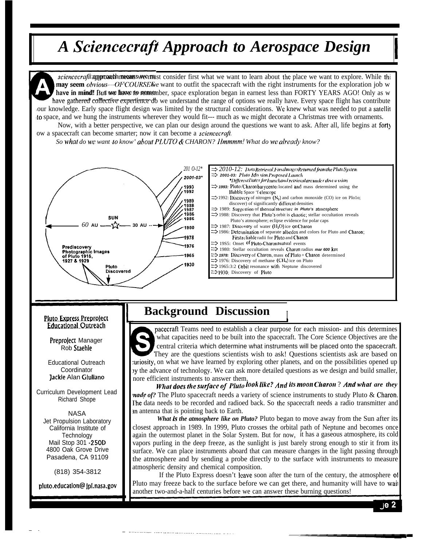# A Sciencecraft Approach to Aerospace Design

sciencecrafit approach means we must consider first what we want to learn about the place we want to explore. While thi **may seem** obvious—OFCOURSE $\vec{k}_e$  want to outfit the spacecraft with the right instruments for the exploration job w have in mind! But we have to remember, space exploration began in earnest less than FORTY YEARS AGO! Only as w have gathered collective experience do we understand the range of options we really have. Every space flight has contribute our knowledge. Early space flight design was limited by the structural considerations. We knew what was needed to put a satellit to space, and we hung the instruments wherever they would fit--- much as we might decorate a Christmas tree with ornaments.

Now, with a better perspective, we can plan our design around the questions we want to ask. After all, life begins at forty ow a spacecraft can become smarter; now it can become a *sciencecraft*.

So what do we want to know' about PLUTO & CHARON? Hmmmm! What do we already know?



## **Pluto Express Preproject Educational Outreach**

Preproject Manager Rob Staehle

**Educational Outreach** Coordinator Jackie Alan Giuliano

Curriculum Development Lead Richard Shope

**NASA** Jet Propulsion Laboratory California Institute of Technology Mail Stop 301 - 250D 4800 Oak Grove Drive Pasadena, CA 91109

(818) 354-3812

pluto.education@ jpl.nasa.gov

## **Background Discussion**

**The Contract Communication of the Communication of the Communication Communication** 

pacecraft Teams need to establish a clear purpose for each mission- and this determines what capacities need to be built into the spacecraft. The Core Science Objectives are the central criteria which determine what instruments will be placed onto the spacecraft. They are the questions scientists wish to ask! Questions scientists ask are based on uriosity, on what we have learned by exploring other planets, and on the possibilities opened up by the advance of technology. We can ask more detailed questions as we design and build smaller, nore efficient instruments to answer them.

What does the surface of Pluto look like? And its moon Charon? And what are they *nade of?* The Pluto spacecraft needs a variety of science instruments to study Pluto & Charon. The data needs to be recorded and radioed back. So the spacecraft needs a radio transmitter and an antenna that is pointing back to Earth.

What is the atmosphere like on Pluto? Pluto began to move away from the Sun after its closest approach in 1989. In 1999, Pluto crosses the orbital path of Neptune and becomes once again the outermost planet in the Solar System. But for now, it has a gaseous atmosphere, its cold vapors purling in the deep freeze, as the sunlight is just barely strong enough to stir it from its surface. We can place instruments aboard that can measure changes in the light passing through the atmosphere and by sending a probe directly to the surface with instruments to measure atmospheric density and chemical composition.

If the Pluto Express doesn't leave soon after the turn of the century, the atmosphere of Pluto may freeze back to the surface before we can get there, and humanity will have to wait another two-and-a-half centuries before we can answer these burning questions!

 $ie<sub>2</sub>$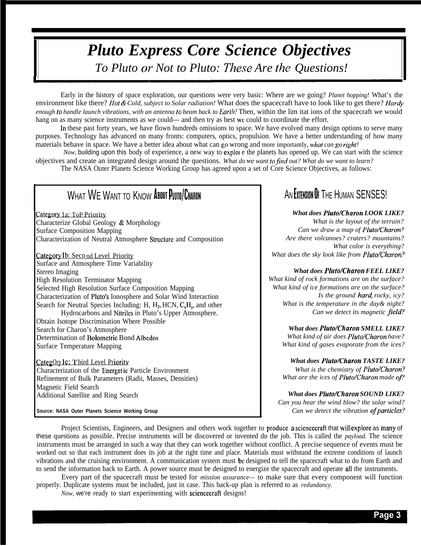# *Pluto Express Core Science Objectives* To Pluto or Not to Pluto: These Are the Questions!

Early in the history of space exploration, our questions were very basic: Where are we going? *Planet hopping!* What's the environment like there? *Hot & Cold, subject to Solar radiation!* What does the spacecraft have to look like to get there? *Hardy enough to handle launch vibrations, with an antenna (o beam back to Earth!* Then, within the lim itat ions of the spacecraft we would hang on as many science instruments as we could--- and then try as best we could to coordinate the effort.

In these past forty years, we have flown hundreds omissions to space. We have evolved many design options to serve many purposes. Technology has advanced on many fronts: computers, optics, propulsion. We have a better understanding of how many materials behave in space. We have a better idea about what can go wrong and more importantly, *what can go right!*

*Now*, building upon this body of experience, a new way to exploie the planets has opened up. We can start with the science objectives and create an integrated design around the questions. *What do we want to find out? What do we want to learn?* 

The NASA Outer Planets Science Working Group has agreed upon a set of Core Science Objectives, as follows:

# WHAT WE WANT TO KNOW ABOUT PLUTO/CHARON

Category 1a: ToP Priority Characterize Global Geology & Morphology Surface Composition Mapping Characterization of Neutral Atmosphere Structure and Composition

Category Ib: Seco nd Level Priority Surface and Atmosphere Time Variability Stereo Imaging High Resolution Terminator Mapping Selected High Resolution Surface Composition Mapping Characterization of Pluto's Ionosphere and Solar Wind Interaction Search for Neutral Species Including: H,  $H_2$ , HCN,  $C_xH_y$ , and other Hydrocarbons and Nitriles in Pluto's Upper Atmosphere. Obtain Isotope Discrimination Where Possible Search for Charon's Atmosphere Determination of Bolometric Bond Albedos Surface Temperature Mapping

CategOry Ic: T'bird Level Priority Characterization of the Energet ic Particle Environment Refinement of Bulk Parameters (Radii, Masses, Densities) Magnetic Field Search Additional Satellite and Ring Search

**Source: NASA Outer Planets Science Working Group**

# AN FYTENSION OF THE HUMAN SENSES!

## *What does P1uto/Charon LOOK LIKE?*

*What is the layout of the terrain? Can we draw a map of Pluto/Charon? Are there volcanoes? craters? mountains? What color is everything? What does the sky look like from Pluto/Charon?*

## *What does Pluto/Charon FEEL LIKE?*

*What kind of rock formations are on the surface? What kind of ice formations are on the surface?* Is the ground hard, rocky, icy? *What is the temperature in the day& night? Can we detect its magnetic field?*

*What does Pluto/Charon SMELL LIKE?*

*What kind of air does Pluto/Charon have? What kind of gases evaporate from the ices?*

*What does Pluto/Charon TASTE LIKE? What is the chemistry of Pluto/Charon?*

What are the ices of Pluto/Charon made of?

*What does Pluto/Charon SOUND LIKE? Can you hear the wind blow? the solar wind?* Can we detect the vibration of particles?

Project Scientists, Engineers, and Designers and others work together to produce <sup>a</sup> sciencecraft that will explore as many of these questions as possible. Precise instruments will be discovered or invented do the job. This is called the *payload.* The science instruments must be arranged in such a way that they can work together without conflict. A precise sequence of events must be worked out so that each instrument does its job at the right time and place. Materials must withstand the extreme conditions of launch vibrations and the cruising environment. A communication system must bc designed to tell the spacecraft what to do from Earth and to send the information back to Earth. A power source must be designed to energize the spacecraft and operate all the instruments.

Every part of the spacecraft must be tested for *mission assurance—* to make sure that every component will function properly. Duplicate systems must be included, just in case. This back-up plan is referred to as *redundancy.*

*Now,* we're ready to start experimenting with sciencecraft designs!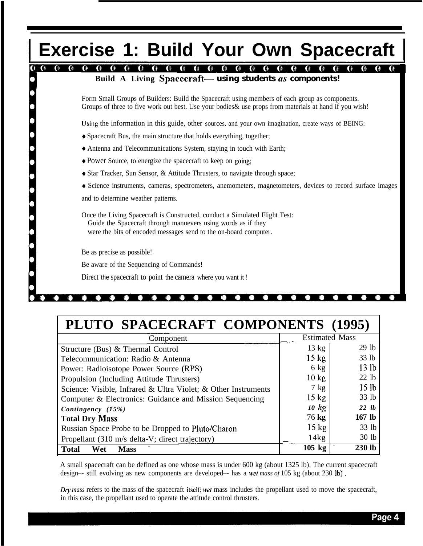# **Exercise 1: Build Your Own Spacecraft**

### $\bullet$   $\bullet$  $\bullet$  $\bullet$  $\bullet$   $\bullet$  $\bullet$ **Build A Living Spacecraft—** *using students 0s components!*

Form Small Groups of Builders: Build the Spacecraft using members of each group as components. Groups of three to five work out best. Use your bodies& use props from materials at hand if you wish!

Using the information in this guide, other sources, and your own imagination, create ways of BEING:

- + Spacecraft Bus, the main structure that holds everything, together;
- + Antenna and Telecommunications System, staying in touch with Earth;
- <sup>+</sup> Power Source, to energize the spacecraft to keep on going;
- + Star Tracker, Sun Sensor, & Attitude Thrusters, to navigate through space;
- + Science instruments, cameras, spectrometers, anemometers, magnetometers, devices to record surface images

and to determine weather patterns.

Once the Living Spacecraft is Constructed, conduct a Simulated Flight Test: Guide the Spacecraft through manuevers using words as if they were the bits of encoded messages send to the on-board computer.

Be as precise as possible!

Be aware of the Sequencing of Commands!

Direct the spacecraft to point the camera where you want it !

| PLUTO SPACECRAFT COMPONENTS (1995)                             |                       |                  |  |
|----------------------------------------------------------------|-----------------------|------------------|--|
| Component                                                      | <b>Estimated Mass</b> |                  |  |
| Structure (Bus) & Thermal Control                              | $13 \text{ kg}$       | 29 <sub>1b</sub> |  |
| Telecommunication: Radio & Antenna                             | $15 \text{ kg}$       | 33 lb            |  |
| Power: Radioisotope Power Source (RPS)                         | $6 \text{ kg}$        | 13 <sub>1b</sub> |  |
| Propulsion (Including Attitude Thrusters)                      | $10 \text{ kg}$       | 22 lb            |  |
| Science: Visible, Infrared & Ultra Violet; & Other Instruments | $7 \text{ kg}$        | 15 <sub>1b</sub> |  |
| Computer & Electronics: Guidance and Mission Sequencing        | $15 \text{ kg}$       | 33 lb            |  |
| Contingency (15%)                                              | 10 kg                 | $22 \; lb$       |  |
| <b>Total Dry Mass</b>                                          | 76 kg                 | $167$ lb         |  |
| Russian Space Probe to be Dropped to Pluto/Charon              | $15 \text{ kg}$       | 33 lb            |  |
| Propellant (310 m/s delta-V; direct trajectory)                | 14kg                  | 30 <sub>1b</sub> |  |
| <b>Total</b><br>Wet<br><b>Mass</b>                             | $105$ kg              | 230 lb           |  |

A small spacecraft can be defined as one whose mass is under 600 kg (about 1325 lb). The current spacecraft design–- still evolving as new components are developed–- has a wet *mass of* 105 kg (about 230 lb).

Dry mass refers to the mass of the spacecraft itself; wet mass includes the propellant used to move the spacecraft, in this case, the propellant used to operate the attitude control thrusters.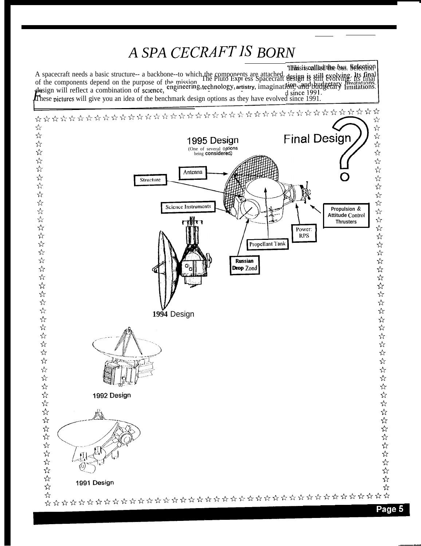# A SPA CECRAFT IS BORN

Ilhhisiscalled the bus. Selection A spacecraft needs a basic structure-- a backbone-to which the components are attached.<br>Of the components depend on the purpose of the mission. The Pluto Expl ess Spacecraft design is still evolving. Its final of the components depend on the purpose of the mission. The Pluto Expiress Spacecraft design is still evolving. Its final<br>design will reflect a combination of science, engineering, technology, artistry, imagination, and bu

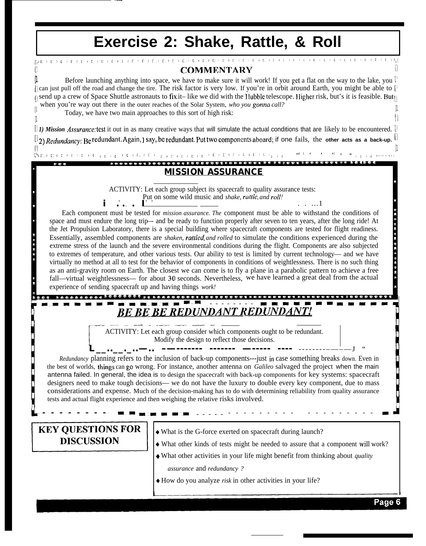## **Exercise 2: Shake, Rattle, & Roll** .<br>המבורוניות וביוניות ותוכוניות ומוכמים, אורים ביום, וביום וביות וביום וביוניות וביוניות וביוניות וביות ויוקר Л **COMMENTARY** Before launching anything into space, we have to make sure it will work! If you get a flat on the way to the lake, you [1] [| can just pull off the road and change the tire. The risk factor is very low. If you're in orbit around Earth, you might be able to [  $\eta$  send up a crew of Space Shuttle astronauts to fix it– like we did with the Hubble telescope. Higher risk, but's it is feasible. But $\eta$ when you're way out there in the outer reaches of the Solar System, who you gonna call? Today, we have two main approaches to this sort of high risk:  $\vert 1 \vert$  $\begin{bmatrix} 1 \end{bmatrix}$ *[] 1) Mission* Assurunce:test it out in as many creative ways that will simulate the actual conditions that are likely to be encountered. []  $\binom{1}{2}$  *Redundancy:* Be redundant. Again, J say, be redundant. Put two components aboard; if one fails, the other acts as a back-up.  $\lfloor \frac{1}{2} \rfloor$ ['[ **'[ ' [ ' ' ' [ ' 1 . . . . . ..- . . . . . . . . . .** ..o~,.o". U.JJ.'JUJ UJ.JJJ., JQJJJQ)J **'J JJ** >") """4"" **'"** .,. .J. J> . . **[1** [1 [~[ICIIICIr II ICIC ICI **L. ICI** EIIILICJC ICII'IILII'L' ['[ "[[ ' ' ' [ **' ' )**  *MISSION ASSURANCE . . . . . J .* ACTIVITY: Let each group subject its spacecraft to quality assurance tests: **2**<br>**a**<br>**a**<br>**a**<br>**a**<br>**a**<br>**a**<br>**a**<br>**a**<br>**a**<br>**b**<br>**b**<br>**b**<br>**b**<br>**b**<br>**c**<br>**b**<br>**c**<br>**b**<br>**c**<br>**d**  *i . . . I* . . ...1 *a . .* Each component must be tested for *mission assurance. The* component must be able to withstand the conditions of : **...................** space and must endure the long trip-- and be ready to function properly after seven to ten years, after the long ride! At the Jet Propulsion Laboratory, there is a special building where spacecraft components are tested for flight readiness. a Essentially, assembled components are *shaken, rattled, and rolled* to simulate the conditions experienced during the extreme stress of the launch and the severe environmental conditions during the flight. Components are also subjected a o to extremes of temperature, and other various tests. Our ability to test is limited by current technology— and we have u virtually no method at all to test for the behavior of components in conditions of weightlessness. There is no such thing as an anti-gravity room on Earth. The closest we can come is to fly a plane in a parabolic pattern to achieve a free fall—virtual weightlessness— for about 30 seconds. Nevertheless, we have learned a great deal from the actual  $\sim$ experience of sending spacecraft up and having things *work! . " --.----- <sup>m</sup> m-m.--"-- --" -------- m-m-m-- n----q " >uoo..~ado 4d04eoda J4 .ua.~~.da~ o~.-~...., .~.~~~,~,~ ~~~~~~~"~- ,JJ~~~~JQ- , O\*3\** **EXERCITY:** Let each group consider which component **\_——.** ACTIVITY: Let each group consider which components ought to be redundant. **r** Modify the design to reflect those decisions. **L\_\_..\_\_.\_..—.. –—------- ------- —----- ----** --------–—–—J " *Redundancy* planning refers to the inclusion of back-up components---just in case something breaks down. Even in the best of worlds, things can go wrong. For instance, another antenna on *Galileo* salvaged the project when the main antenna failed. In general, the idea is to design the spacecraft with back-up components for key systems: spacecraft designers need to make tough decisions— we do not have the luxury to double every key component, due to mass considerations and expense. Much of the decision-making has to do with determining reliability from quality assurance tests and actual flight experience and then weighing the relative risks involved. --------- --------- - *J* **KEY QUESTIONS FOR** + What is the G-force exerted on spacecraft during launch? **DISCUSSION** + What other kinds of tests might be needed to assure that a component will work? + What other activities in your life might benefit from thinking about *quality assurance* and *redundancy ? +* How do you analyze *risk* in other activities in your life?Page 6

"

**d**

.

.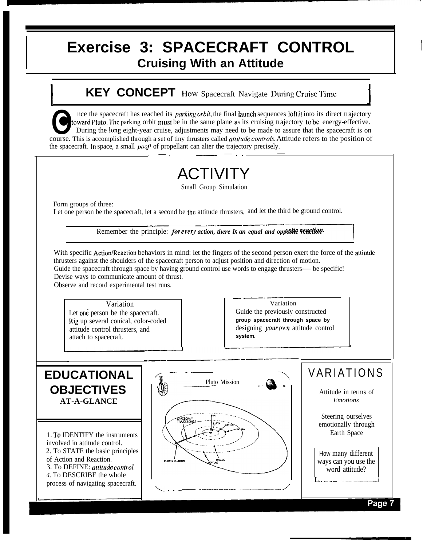# **Exercise 3: SPACECRAFT CONTROL Cruising With an Attitude**

## **KEY CONCEPT** How Spacecraft Navigate During Cruise Time **I**  $\overline{A}$  **J**  $\overline{A}$  **J**  $\overline{A}$  **J**  $\overline{A}$  **J**  $\overline{A}$  **J**  $\overline{A}$   $\overline{A}$   $\overline{A}$   $\overline{A}$   $\overline{A}$   $\overline{A}$   $\overline{A}$   $\overline{A}$   $\overline{A}$   $\overline{A}$   $\overline{A}$   $\overline{A}$   $\overline{A}$   $\overline{A}$   $\overline{A}$   $\overline{A}$   $\overline{A}$

The spacecraft has reached its *parking orbit*, the final launch sequences loft it into its direct trajectory<br>
to ward Pluto. The parking orbit must be in the same plane as its cruising trajectory to be energy-effective.<br> nce the spacecraft has reached its *parking orbit*, the final launch sequences loft it into its direct trajectory<br>toward Pluto. The parking orbit must be in the same plane as its cruising trajectory to be energy-effective. During the long eight-year cruise, adjustments may need to be made to assure that the spacecraft is on this is accomplished through a set of tiny thrusters called *attitude controls*. Attitude refers to the position of cr the spacecraft. In space, a small *poof!* of propellant can alter the trajectory precisely.

# ACTIVITY

Small Group Simulation

Form groups of three:

I

**9**

Let one person be the spacecraft, let a second be the attitude thrusters, and let the third be ground control.

Remember the principle: *for every action, there is an equal and opposite Feation* .—— ——.

With specific Action/Reaction behaviors in mind: let the fingers of the second person exert the force of the attiutde rd be ground control.<br> **Assite Feaction**<br>
con exert the force of the thrusters against the shoulders of the spacecraft person to adjust position and direction of motion. Guide the spacecraft through space by having ground control use words to engage thrusters— be specific! Devise ways to communicate amount of thrust.

Observe and record experimental test runs.

Variation Let one person be the spacecraft. Rig up several conical, color-coded attitude control thrusters, and attach to spacecraft.

—.. .—.— Variation Guide the previously constructed **group spacecraft through space by** designing your own attitude control **system.**

### -—. —.———— **EDUCATIONAL OBJECTIVES AT-A-GLANCE** 1. To IDENTIFY the instruments involved in attitude control. 2. To STATE the basic principles of Action and Reaction. 3. To DEFINE: *attitude control. 4.* To DESCRIBE the whole process of navigating spacecraft. ~ ---- -..–.- **Pluto Mission (2)**  $\ddot{\phantom{0}}$ - 4S '>  $\frac{1}{2}$ *L . . ..–-— --------------- —-—--––- /* VARIATIONS Attitude in terms of *Emotions* Steering ourselves emotionally through Earth Space How many different ways can you use the word attitude? L.. \_ ..- ..\_\_\_..\_..\_\_J..\_J

Page 7